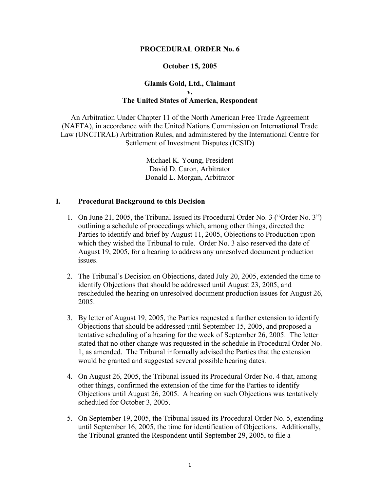#### **PROCEDURAL ORDER No. 6**

#### **October 15, 2005**

### **Glamis Gold, Ltd., Claimant v. The United States of America, Respondent**

An Arbitration Under Chapter 11 of the North American Free Trade Agreement (NAFTA), in accordance with the United Nations Commission on International Trade Law (UNCITRAL) Arbitration Rules, and administered by the International Centre for Settlement of Investment Disputes (ICSID)

> Michael K. Young, President David D. Caron, Arbitrator Donald L. Morgan, Arbitrator

### **I. Procedural Background to this Decision**

- 1. On June 21, 2005, the Tribunal Issued its Procedural Order No. 3 ("Order No. 3") outlining a schedule of proceedings which, among other things, directed the Parties to identify and brief by August 11, 2005, Objections to Production upon which they wished the Tribunal to rule. Order No. 3 also reserved the date of August 19, 2005, for a hearing to address any unresolved document production **issues**
- 2. The Tribunal's Decision on Objections, dated July 20, 2005, extended the time to identify Objections that should be addressed until August 23, 2005, and rescheduled the hearing on unresolved document production issues for August 26, 2005.
- 3. By letter of August 19, 2005, the Parties requested a further extension to identify Objections that should be addressed until September 15, 2005, and proposed a tentative scheduling of a hearing for the week of September 26, 2005. The letter stated that no other change was requested in the schedule in Procedural Order No. 1, as amended. The Tribunal informally advised the Parties that the extension would be granted and suggested several possible hearing dates.
- 4. On August 26, 2005, the Tribunal issued its Procedural Order No. 4 that, among other things, confirmed the extension of the time for the Parties to identify Objections until August 26, 2005. A hearing on such Objections was tentatively scheduled for October 3, 2005.
- 5. On September 19, 2005, the Tribunal issued its Procedural Order No. 5, extending until September 16, 2005, the time for identification of Objections. Additionally, the Tribunal granted the Respondent until September 29, 2005, to file a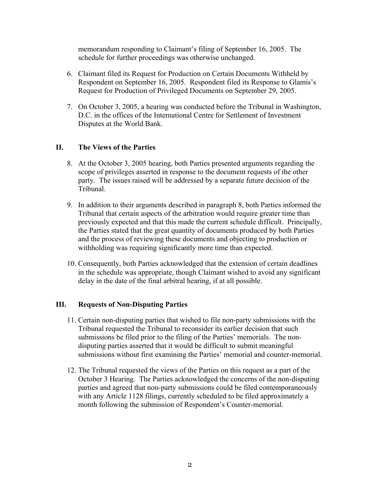memorandum responding to Claimant's filing of September 16, 2005. The schedule for further proceedings was otherwise unchanged.

- 6. Claimant filed its Request for Production on Certain Documents Withheld by Respondent on September 16, 2005. Respondent filed its Response to Glamis's Request for Production of Privileged Documents on September 29, 2005.
- 7. On October 3, 2005, a hearing was conducted before the Tribunal in Washington, D.C. in the offices of the International Centre for Settlement of Investment Disputes at the World Bank.

# **II. The Views of the Parties**

- 8. At the October 3, 2005 hearing, both Parties presented arguments regarding the scope of privileges asserted in response to the document requests of the other party. The issues raised will be addressed by a separate future decision of the Tribunal.
- 9. In addition to their arguments described in paragraph 8, both Parties informed the Tribunal that certain aspects of the arbitration would require greater time than previously expected and that this made the current schedule difficult. Principally, the Parties stated that the great quantity of documents produced by both Parties and the process of reviewing these documents and objecting to production or withholding was requiring significantly more time than expected.
- 10. Consequently, both Parties acknowledged that the extension of certain deadlines in the schedule was appropriate, though Claimant wished to avoid any significant delay in the date of the final arbitral hearing, if at all possible.

# **III. Requests of Non-Disputing Parties**

- 11. Certain non-disputing parties that wished to file non-party submissions with the Tribunal requested the Tribunal to reconsider its earlier decision that such submissions be filed prior to the filing of the Parties' memorials. The nondisputing parties asserted that it would be difficult to submit meaningful submissions without first examining the Parties' memorial and counter-memorial.
- 12. The Tribunal requested the views of the Parties on this request as a part of the October 3 Hearing. The Parties acknowledged the concerns of the non-disputing parties and agreed that non-party submissions could be filed contemporaneously with any Article 1128 filings, currently scheduled to be filed approximately a month following the submission of Respondent's Counter-memorial.